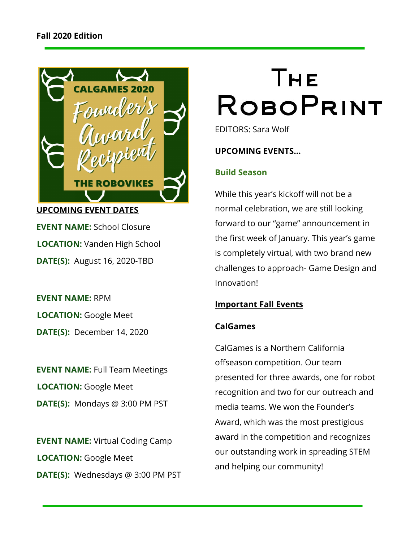

**EVENT NAME:** School Closure **LOCATION:** Vanden High School **DATE(S):**  August 16, 2020-TBD

**EVENT NAME:** RPM **LOCATION:** Google Meet **DATE(S):**  December 14, 2020

**EVENT NAME:** Full Team Meetings **LOCATION:** Google Meet **DATE(S):**  Mondays @ 3:00 PM PST

**EVENT NAME:** Virtual Coding Camp **LOCATION:** Google Meet **DATE(S):**  Wednesdays @ 3:00 PM PST

# Тне **ROBOPRINT**

EDITORS: Sara Wolf

**UPCOMING EVENTS…**

## **Build Season**

While this year's kickoff will not be a normal celebration, we are still looking forward to our "game" announcement in the first week of January. This year's game is completely virtual, with two brand new challenges to approach- Game Design and Innovation!

### **Important Fall Events**

## **CalGames**

CalGames is a Northern California offseason competition. Our team presented for three awards, one for robot recognition and two for our outreach and media teams. We won the Founder's Award, which was the most prestigious award in the competition and recognizes our outstanding work in spreading STEM and helping our community!